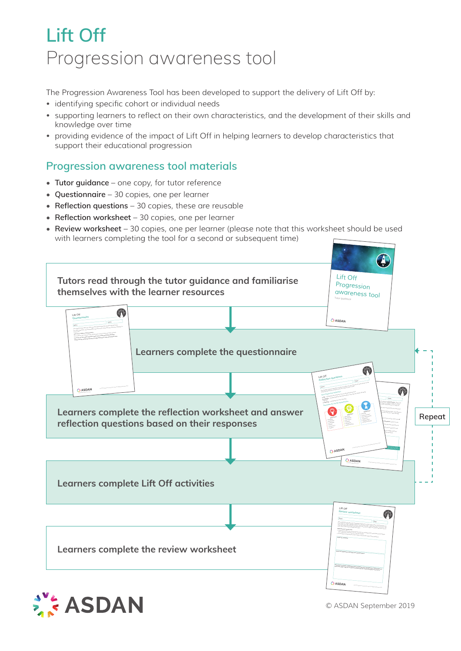## **Lift Off** Progression awareness tool

The Progression Awareness Tool has been developed to support the delivery of Lift Off by:

- identifying specific cohort or individual needs
- supporting learners to reflect on their own characteristics, and the development of their skills and knowledge over time
- providing evidence of the impact of Lift Off in helping learners to develop characteristics that support their educational progression

## **Progression awareness tool materials**

- **• Tutor guidance**  one copy, for tutor reference
- **• Questionnaire** 30 copies, one per learner
- **• Reflection questions** 30 copies, these are reusable
- **• Reflection worksheet** 30 copies, one per learner
- **• Review worksheet** 30 copies, one per learner (please note that this worksheet should be used with learners completing the tool for a second or subsequent time)





© ASDAN September 2019